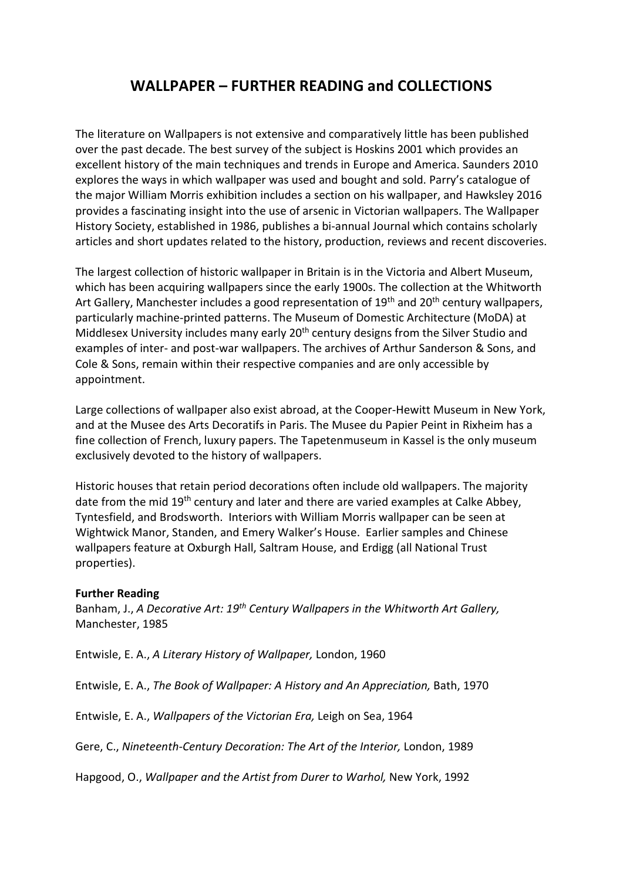## WALLPAPER – FURTHER READING and COLLECTIONS

The literature on Wallpapers is not extensive and comparatively little has been published over the past decade. The best survey of the subject is Hoskins 2001 which provides an excellent history of the main techniques and trends in Europe and America. Saunders 2010 explores the ways in which wallpaper was used and bought and sold. Parry's catalogue of the major William Morris exhibition includes a section on his wallpaper, and Hawksley 2016 provides a fascinating insight into the use of arsenic in Victorian wallpapers. The Wallpaper History Society, established in 1986, publishes a bi-annual Journal which contains scholarly articles and short updates related to the history, production, reviews and recent discoveries.

The largest collection of historic wallpaper in Britain is in the Victoria and Albert Museum, which has been acquiring wallpapers since the early 1900s. The collection at the Whitworth Art Gallery, Manchester includes a good representation of  $19<sup>th</sup>$  and  $20<sup>th</sup>$  century wallpapers, particularly machine-printed patterns. The Museum of Domestic Architecture (MoDA) at Middlesex University includes many early 20<sup>th</sup> century designs from the Silver Studio and examples of inter- and post-war wallpapers. The archives of Arthur Sanderson & Sons, and Cole & Sons, remain within their respective companies and are only accessible by appointment.

Large collections of wallpaper also exist abroad, at the Cooper-Hewitt Museum in New York, and at the Musee des Arts Decoratifs in Paris. The Musee du Papier Peint in Rixheim has a fine collection of French, luxury papers. The Tapetenmuseum in Kassel is the only museum exclusively devoted to the history of wallpapers.

Historic houses that retain period decorations often include old wallpapers. The majority date from the mid 19<sup>th</sup> century and later and there are varied examples at Calke Abbey, Tyntesfield, and Brodsworth. Interiors with William Morris wallpaper can be seen at Wightwick Manor, Standen, and Emery Walker's House. Earlier samples and Chinese wallpapers feature at Oxburgh Hall, Saltram House, and Erdigg (all National Trust properties).

## Further Reading

Banham, J., A Decorative Art: 19<sup>th</sup> Century Wallpapers in the Whitworth Art Gallery, Manchester, 1985

Entwisle, E. A., A Literary History of Wallpaper, London, 1960

Entwisle, E. A., The Book of Wallpaper: A History and An Appreciation, Bath, 1970

Entwisle, E. A., Wallpapers of the Victorian Era, Leigh on Sea, 1964

Gere, C., Nineteenth-Century Decoration: The Art of the Interior, London, 1989

Hapgood, O., Wallpaper and the Artist from Durer to Warhol, New York, 1992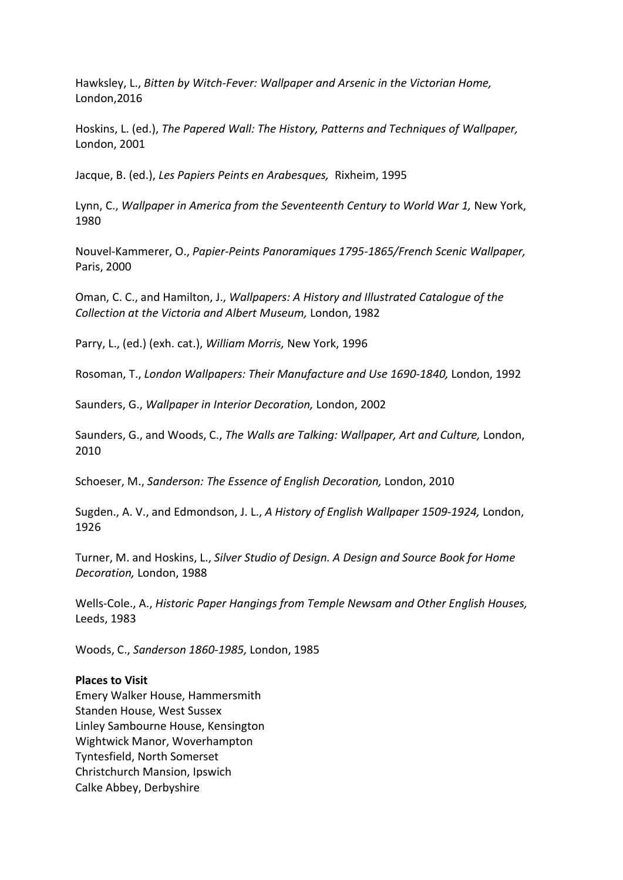Hawksley, L., Bitten by Witch-Fever: Wallpaper and Arsenic in the Victorian Home, London,2016

Hoskins, L. (ed.), The Papered Wall: The History, Patterns and Techniques of Wallpaper, London, 2001

Jacque, B. (ed.), Les Papiers Peints en Arabesques, Rixheim, 1995

Lynn, C., Wallpaper in America from the Seventeenth Century to World War 1, New York, 1980

Nouvel-Kammerer, O., Papier-Peints Panoramiques 1795-1865/French Scenic Wallpaper, Paris, 2000

Oman, C. C., and Hamilton, J., Wallpapers: A History and Illustrated Catalogue of the Collection at the Victoria and Albert Museum, London, 1982

Parry, L., (ed.) (exh. cat.), William Morris, New York, 1996

Rosoman, T., London Wallpapers: Their Manufacture and Use 1690-1840, London, 1992

Saunders, G., Wallpaper in Interior Decoration, London, 2002

Saunders, G., and Woods, C., The Walls are Talking: Wallpaper, Art and Culture, London, 2010

Schoeser, M., Sanderson: The Essence of English Decoration, London, 2010

Sugden., A. V., and Edmondson, J. L., A History of English Wallpaper 1509-1924, London, 1926

Turner, M. and Hoskins, L., Silver Studio of Design. A Design and Source Book for Home Decoration, London, 1988

Wells-Cole., A., Historic Paper Hangings from Temple Newsam and Other English Houses, Leeds, 1983

Woods, C., Sanderson 1860-1985, London, 1985

## Places to Visit

Emery Walker House, Hammersmith Standen House, West Sussex Linley Sambourne House, Kensington Wightwick Manor, Woverhampton Tyntesfield, North Somerset Christchurch Mansion, Ipswich Calke Abbey, Derbyshire